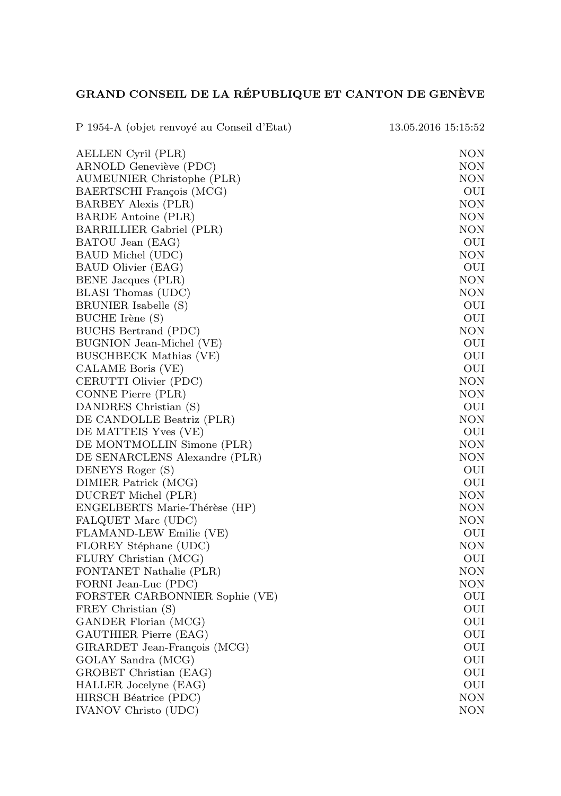## GRAND CONSEIL DE LA RÉPUBLIQUE ET CANTON DE GENÈVE

| P 1954-A (objet renvoyé au Conseil d'Etat)    | 13.05.2016 15:15:52 |
|-----------------------------------------------|---------------------|
| AELLEN Cyril (PLR)                            | NON                 |
| ARNOLD Geneviève (PDC)                        | NON                 |
| AUMEUNIER Christophe (PLR)                    | NON                 |
| BAERTSCHI François (MCG)                      | OUI                 |
| BARBEY Alexis (PLR)                           | NON                 |
| BARDE Antoine (PLR)                           | <b>NON</b>          |
| BARRILLIER Gabriel (PLR)                      | NON                 |
| BATOU Jean (EAG)                              | OUI                 |
| BAUD Michel (UDC)                             | NON                 |
| BAUD Olivier (EAG)                            | OUI                 |
| BENE Jacques (PLR)                            | NON                 |
| BLASI Thomas (UDC)                            | NON                 |
| BRUNIER Isabelle (S)                          | OUI                 |
| BUCHE Irène (S)                               | OUI                 |
| BUCHS Bertrand (PDC)                          | NON                 |
| BUGNION Jean-Michel (VE)                      | OUI                 |
| <b>BUSCHBECK Mathias (VE)</b>                 | OUI                 |
| CALAME Boris (VE)                             | OUI                 |
| CERUTTI Olivier (PDC)                         | NON                 |
| CONNE Pierre (PLR)                            | NON                 |
| DANDRES Christian (S)                         | OUI                 |
| DE CANDOLLE Beatriz (PLR)                     | NON                 |
| DE MATTEIS Yves (VE)                          | OUI                 |
| DE MONTMOLLIN Simone (PLR)                    | <b>NON</b>          |
| DE SENARCLENS Alexandre (PLR)                 | NON                 |
| DENEYS Roger (S)                              | OUI                 |
| DIMIER Patrick (MCG)                          | OUI                 |
| DUCRET Michel (PLR)                           | NON                 |
| ENGELBERTS Marie-Thérèse (HP)                 | NON<br>NON          |
| FALQUET Marc (UDC)<br>FLAMAND-LEW Emilie (VE) | OUI                 |
| FLOREY Stéphane (UDC)                         | <b>NON</b>          |
| FLURY Christian (MCG)                         | OUI                 |
| FONTANET Nathalie (PLR)                       | NON                 |
| FORNI Jean-Luc (PDC)                          | NON                 |
| FORSTER CARBONNIER Sophie (VE)                | OUI                 |
| FREY Christian (S)                            | OUI                 |
| GANDER Florian (MCG)                          | OUI                 |
| GAUTHIER Pierre (EAG)                         | OUI                 |
| GIRARDET Jean-François (MCG)                  | OUI                 |
| GOLAY Sandra (MCG)                            | OUI                 |
| GROBET Christian (EAG)                        | OUI                 |
| HALLER Jocelyne (EAG)                         | OUI                 |
| HIRSCH Béatrice (PDC)                         | NON                 |
| <b>IVANOV Christo (UDC)</b>                   | NON                 |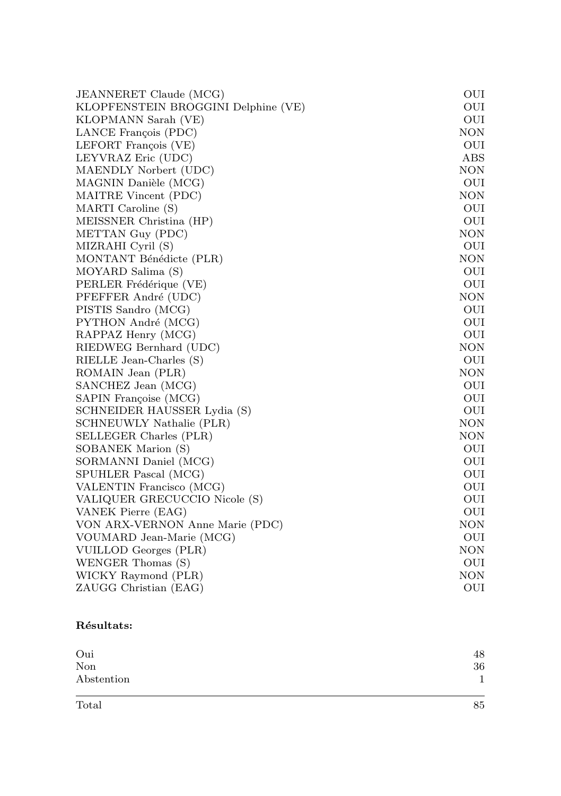| <b>JEANNERET Claude (MCG)</b>       | OUI               |  |  |  |  |
|-------------------------------------|-------------------|--|--|--|--|
| KLOPFENSTEIN BROGGINI Delphine (VE) | OUI               |  |  |  |  |
| KLOPMANN Sarah (VE)                 |                   |  |  |  |  |
| LANCE François (PDC)                | OUI<br>$\rm{NON}$ |  |  |  |  |
| LEFORT François (VE)                | OUI               |  |  |  |  |
| LEYVRAZ Eric (UDC)                  | ABS               |  |  |  |  |
| MAENDLY Norbert (UDC)               | <b>NON</b>        |  |  |  |  |
| MAGNIN Danièle (MCG)                | OUI               |  |  |  |  |
| MAITRE Vincent (PDC)                | <b>NON</b>        |  |  |  |  |
| MARTI Caroline (S)                  | OUI               |  |  |  |  |
| MEISSNER Christina (HP)             | OUI               |  |  |  |  |
| METTAN Guy (PDC)                    | <b>NON</b>        |  |  |  |  |
| MIZRAHI Cyril (S)                   | OUI               |  |  |  |  |
| MONTANT Bénédicte (PLR)             | <b>NON</b>        |  |  |  |  |
| MOYARD Salima (S)                   | OUI               |  |  |  |  |
| PERLER Frédérique (VE)              | OUI               |  |  |  |  |
| PFEFFER André (UDC)                 | <b>NON</b>        |  |  |  |  |
| PISTIS Sandro (MCG)                 | OUI               |  |  |  |  |
| PYTHON André (MCG)                  | OUI               |  |  |  |  |
| RAPPAZ Henry (MCG)                  | OUI               |  |  |  |  |
| RIEDWEG Bernhard (UDC)              | <b>NON</b>        |  |  |  |  |
| RIELLE Jean-Charles (S)             | OUI               |  |  |  |  |
| ROMAIN Jean (PLR)                   | <b>NON</b>        |  |  |  |  |
| SANCHEZ Jean (MCG)                  | OUI               |  |  |  |  |
| SAPIN Françoise (MCG)               | OUI               |  |  |  |  |
| SCHNEIDER HAUSSER Lydia (S)         | OUI               |  |  |  |  |
| SCHNEUWLY Nathalie (PLR)            | <b>NON</b>        |  |  |  |  |
| SELLEGER Charles (PLR)              | <b>NON</b>        |  |  |  |  |
| SOBANEK Marion (S)                  | OUI               |  |  |  |  |
| SORMANNI Daniel (MCG)               | OUI               |  |  |  |  |
| SPUHLER Pascal (MCG)                | OUI               |  |  |  |  |
| VALENTIN Francisco (MCG)            | OUI               |  |  |  |  |
| VALIQUER GRECUCCIO Nicole (S)       | OUI               |  |  |  |  |
| VANEK Pierre (EAG)                  | OUI               |  |  |  |  |
| VON ARX-VERNON Anne Marie (PDC)     | <b>NON</b>        |  |  |  |  |
| VOUMARD Jean-Marie (MCG)            | OUI               |  |  |  |  |
| VUILLOD Georges (PLR)               | <b>NON</b>        |  |  |  |  |
| WENGER Thomas (S)                   | OUI               |  |  |  |  |
| WICKY Raymond (PLR)                 | NON               |  |  |  |  |
| ZAUGG Christian (EAG)               | OUI               |  |  |  |  |

## Résultats:

| Oui        | 48 |
|------------|----|
| Non        | 36 |
| Abstention |    |